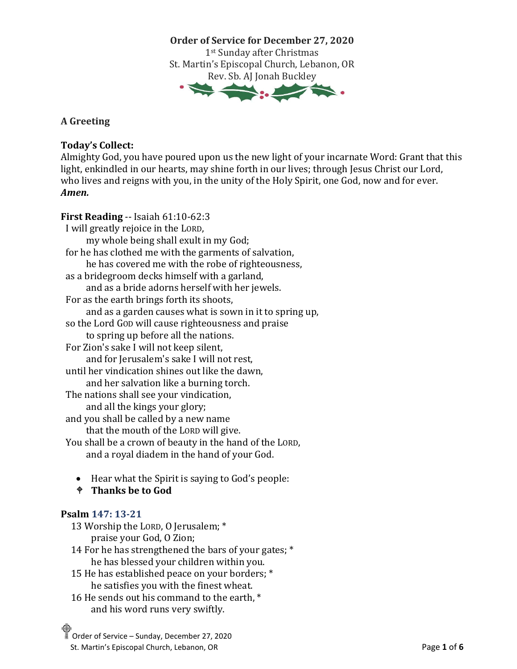**Order of Service for December 27, 2020** 1st Sunday after Christmas St. Martin's Episcopal Church, Lebanon, OR Rev. Sb. AJ Jonah Buckley

**A Greeting** 

## **Today's Collect:**

Almighty God, you have poured upon us the new light of your incarnate Word: Grant that this light, enkindled in our hearts, may shine forth in our lives; through Jesus Christ our Lord, who lives and reigns with you, in the unity of the Holy Spirit, one God, now and for ever. *Amen.*

- **First Reading** -- Isaiah 61:10-62:3 I will greatly rejoice in the LORD, my whole being shall exult in my God; for he has clothed me with the garments of salvation, he has covered me with the robe of righteousness, as a bridegroom decks himself with a garland, and as a bride adorns herself with her jewels. For as the earth brings forth its shoots, and as a garden causes what is sown in it to spring up, so the Lord GOD will cause righteousness and praise to spring up before all the nations. For Zion's sake I will not keep silent, and for Jerusalem's sake I will not rest, until her vindication shines out like the dawn, and her salvation like a burning torch. The nations shall see your vindication, and all the kings your glory; and you shall be called by a new name that the mouth of the LORD will give. You shall be a crown of beauty in the hand of the LORD, and a royal diadem in the hand of your God.
	- Hear what the Spirit is saying to God's people:
	- **Thanks be to God**

## **Psalm 147: 13-21**

- 13 Worship the LORD, O Jerusalem; \* praise your God, O Zion;
- 14 For he has strengthened the bars of your gates; \* he has blessed your children within you.
- 15 He has established peace on your borders; \* he satisfies you with the finest wheat.
- 16 He sends out his command to the earth,  $*$ and his word runs very swiftly.
- Order of Service Sunday, December 27, 2020
- St. Martin's Episcopal Church, Lebanon, OR **Page 1** of **6 Page 1** of **6**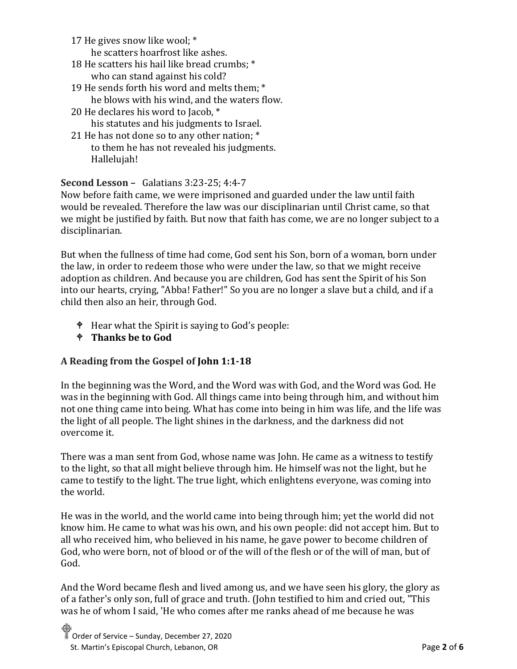17 He gives snow like wool; \*

he scatters hoarfrost like ashes.

- 18 He scatters his hail like bread crumbs; \* who can stand against his cold?
- 19 He sends forth his word and melts them; \* he blows with his wind, and the waters flow.
- 20 He declares his word to Jacob, \* his statutes and his judgments to Israel.
- 21 He has not done so to any other nation; \* to them he has not revealed his judgments. Hallelujah!

# **Second Lesson –** Galatians 3:23-25; 4:4-7

Now before faith came, we were imprisoned and guarded under the law until faith would be revealed. Therefore the law was our disciplinarian until Christ came, so that we might be justified by faith. But now that faith has come, we are no longer subject to a disciplinarian.

But when the fullness of time had come, God sent his Son, born of a woman, born under the law, in order to redeem those who were under the law, so that we might receive adoption as children. And because you are children, God has sent the Spirit of his Son into our hearts, crying, "Abba! Father!" So you are no longer a slave but a child, and if a child then also an heir, through God.

- $\bullet$  Hear what the Spirit is saying to God's people:
- **Thanks be to God**

# **A Reading from the Gospel of John 1:1-18**

In the beginning was the Word, and the Word was with God, and the Word was God. He was in the beginning with God. All things came into being through him, and without him not one thing came into being. What has come into being in him was life, and the life was the light of all people. The light shines in the darkness, and the darkness did not overcome it.

There was a man sent from God, whose name was John. He came as a witness to testify to the light, so that all might believe through him. He himself was not the light, but he came to testify to the light. The true light, which enlightens everyone, was coming into the world.

He was in the world, and the world came into being through him; yet the world did not know him. He came to what was his own, and his own people: did not accept him. But to all who received him, who believed in his name, he gave power to become children of God, who were born, not of blood or of the will of the flesh or of the will of man, but of God.

And the Word became flesh and lived among us, and we have seen his glory, the glory as of a father's only son, full of grace and truth. (John testified to him and cried out, "This was he of whom I said, 'He who comes after me ranks ahead of me because he was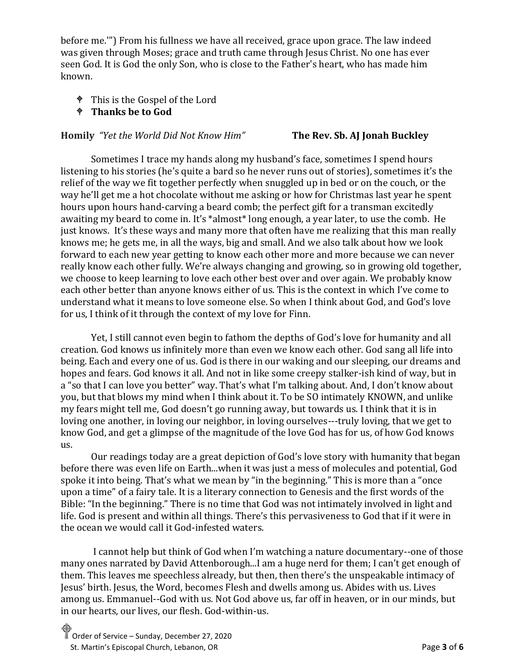before me.'") From his fullness we have all received, grace upon grace. The law indeed was given through Moses; grace and truth came through Jesus Christ. No one has ever seen God. It is God the only Son, who is close to the Father's heart, who has made him known.

- This is the Gospel of the Lord
- **Thanks be to God**

## **Homily** *"Yet the World Did Not Know Him"* **The Rev. Sb. AJ Jonah Buckley**

Sometimes I trace my hands along my husband's face, sometimes I spend hours listening to his stories (he's quite a bard so he never runs out of stories), sometimes it's the relief of the way we fit together perfectly when snuggled up in bed or on the couch, or the way he'll get me a hot chocolate without me asking or how for Christmas last year he spent hours upon hours hand-carving a beard comb; the perfect gift for a transman excitedly awaiting my beard to come in. It's \*almost\* long enough, a year later, to use the comb. He just knows. It's these ways and many more that often have me realizing that this man really knows me; he gets me, in all the ways, big and small. And we also talk about how we look forward to each new year getting to know each other more and more because we can never really know each other fully. We're always changing and growing, so in growing old together, we choose to keep learning to love each other best over and over again. We probably know each other better than anyone knows either of us. This is the context in which I've come to understand what it means to love someone else. So when I think about God, and God's love for us, I think of it through the context of my love for Finn.

Yet, I still cannot even begin to fathom the depths of God's love for humanity and all creation. God knows us infinitely more than even we know each other. God sang all life into being. Each and every one of us. God is there in our waking and our sleeping, our dreams and hopes and fears. God knows it all. And not in like some creepy stalker-ish kind of way, but in a "so that I can love you better" way. That's what I'm talking about. And, I don't know about you, but that blows my mind when I think about it. To be SO intimately KNOWN, and unlike my fears might tell me, God doesn't go running away, but towards us. I think that it is in loving one another, in loving our neighbor, in loving ourselves---truly loving, that we get to know God, and get a glimpse of the magnitude of the love God has for us, of how God knows us.

Our readings today are a great depiction of God's love story with humanity that began before there was even life on Earth...when it was just a mess of molecules and potential, God spoke it into being. That's what we mean by "in the beginning." This is more than a "once upon a time" of a fairy tale. It is a literary connection to Genesis and the first words of the Bible: "In the beginning." There is no time that God was not intimately involved in light and life. God is present and within all things. There's this pervasiveness to God that if it were in the ocean we would call it God-infested waters.

I cannot help but think of God when I'm watching a nature documentary--one of those many ones narrated by David Attenborough...I am a huge nerd for them; I can't get enough of them. This leaves me speechless already, but then, then there's the unspeakable intimacy of Jesus' birth. Jesus, the Word, becomes Flesh and dwells among us. Abides with us. Lives among us. Emmanuel--God with us. Not God above us, far off in heaven, or in our minds, but in our hearts, our lives, our flesh. God-within-us.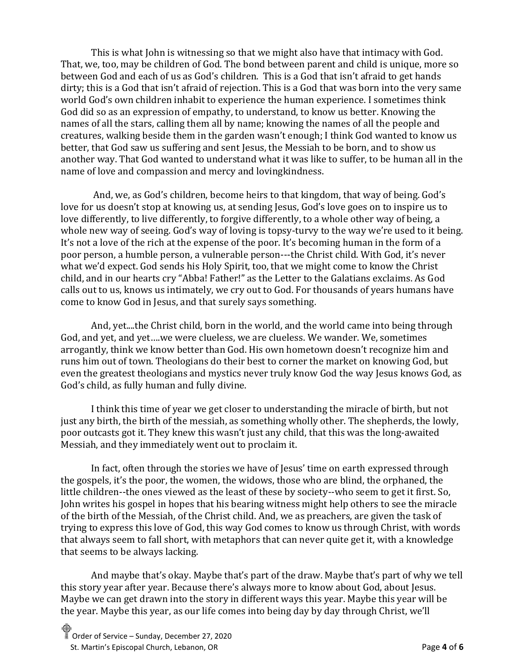This is what John is witnessing so that we might also have that intimacy with God. That, we, too, may be children of God. The bond between parent and child is unique, more so between God and each of us as God's children. This is a God that isn't afraid to get hands dirty; this is a God that isn't afraid of rejection. This is a God that was born into the very same world God's own children inhabit to experience the human experience. I sometimes think God did so as an expression of empathy, to understand, to know us better. Knowing the names of all the stars, calling them all by name; knowing the names of all the people and creatures, walking beside them in the garden wasn't enough; I think God wanted to know us better, that God saw us suffering and sent Jesus, the Messiah to be born, and to show us another way. That God wanted to understand what it was like to suffer, to be human all in the name of love and compassion and mercy and lovingkindness.

And, we, as God's children, become heirs to that kingdom, that way of being. God's love for us doesn't stop at knowing us, at sending Jesus, God's love goes on to inspire us to love differently, to live differently, to forgive differently, to a whole other way of being, a whole new way of seeing. God's way of loving is topsy-turvy to the way we're used to it being. It's not a love of the rich at the expense of the poor. It's becoming human in the form of a poor person, a humble person, a vulnerable person---the Christ child. With God, it's never what we'd expect. God sends his Holy Spirit, too, that we might come to know the Christ child, and in our hearts cry "Abba! Father!" as the Letter to the Galatians exclaims. As God calls out to us, knows us intimately, we cry out to God. For thousands of years humans have come to know God in Jesus, and that surely says something.

And, yet....the Christ child, born in the world, and the world came into being through God, and yet, and yet….we were clueless, we are clueless. We wander. We, sometimes arrogantly, think we know better than God. His own hometown doesn't recognize him and runs him out of town. Theologians do their best to corner the market on knowing God, but even the greatest theologians and mystics never truly know God the way Jesus knows God, as God's child, as fully human and fully divine.

I think this time of year we get closer to understanding the miracle of birth, but not just any birth, the birth of the messiah, as something wholly other. The shepherds, the lowly, poor outcasts got it. They knew this wasn't just any child, that this was the long-awaited Messiah, and they immediately went out to proclaim it.

In fact, often through the stories we have of Jesus' time on earth expressed through the gospels, it's the poor, the women, the widows, those who are blind, the orphaned, the little children--the ones viewed as the least of these by society--who seem to get it first. So, John writes his gospel in hopes that his bearing witness might help others to see the miracle of the birth of the Messiah, of the Christ child. And, we as preachers, are given the task of trying to express this love of God, this way God comes to know us through Christ, with words that always seem to fall short, with metaphors that can never quite get it, with a knowledge that seems to be always lacking.

And maybe that's okay. Maybe that's part of the draw. Maybe that's part of why we tell this story year after year. Because there's always more to know about God, about Jesus. Maybe we can get drawn into the story in different ways this year. Maybe this year will be the year. Maybe this year, as our life comes into being day by day through Christ, we'll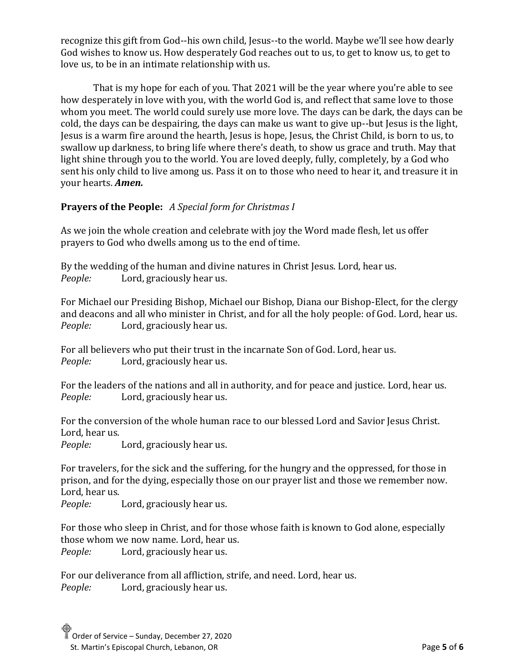recognize this gift from God--his own child, Jesus--to the world. Maybe we'll see how dearly God wishes to know us. How desperately God reaches out to us, to get to know us, to get to love us, to be in an intimate relationship with us.

That is my hope for each of you. That 2021 will be the year where you're able to see how desperately in love with you, with the world God is, and reflect that same love to those whom you meet. The world could surely use more love. The days can be dark, the days can be cold, the days can be despairing, the days can make us want to give up--but Jesus is the light, Jesus is a warm fire around the hearth, Jesus is hope, Jesus, the Christ Child, is born to us, to swallow up darkness, to bring life where there's death, to show us grace and truth. May that light shine through you to the world. You are loved deeply, fully, completely, by a God who sent his only child to live among us. Pass it on to those who need to hear it, and treasure it in your hearts. *Amen.*

# **Prayers of the People:** *A Special form for Christmas I*

As we join the whole creation and celebrate with joy the Word made flesh, let us offer prayers to God who dwells among us to the end of time.

By the wedding of the human and divine natures in Christ Jesus. Lord, hear us. *People:* Lord, graciously hear us.

For Michael our Presiding Bishop, Michael our Bishop, Diana our Bishop-Elect, for the clergy and deacons and all who minister in Christ, and for all the holy people: of God. Lord, hear us. *People:* Lord, graciously hear us.

For all believers who put their trust in the incarnate Son of God. Lord, hear us. *People:* Lord, graciously hear us.

For the leaders of the nations and all in authority, and for peace and justice. Lord, hear us. *People:* Lord, graciously hear us.

For the conversion of the whole human race to our blessed Lord and Savior Jesus Christ. Lord, hear us.

*People:* Lord, graciously hear us.

For travelers, for the sick and the suffering, for the hungry and the oppressed, for those in prison, and for the dying, especially those on our prayer list and those we remember now. Lord, hear us.

*People:* Lord, graciously hear us.

For those who sleep in Christ, and for those whose faith is known to God alone, especially those whom we now name. Lord, hear us. *People:* Lord, graciously hear us.

For our deliverance from all affliction, strife, and need. Lord, hear us. *People:* Lord, graciously hear us.